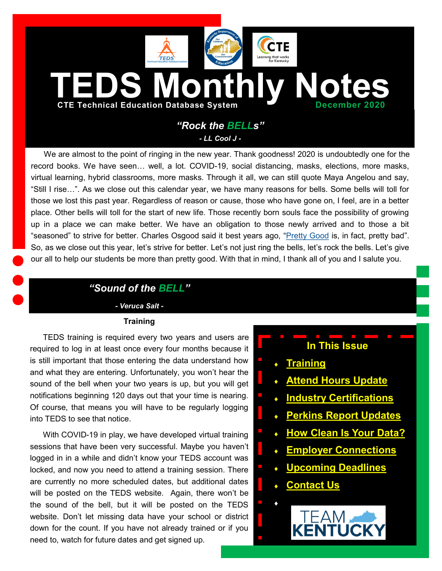<span id="page-0-0"></span>

We are almost to the point of ringing in the new year. Thank goodness! 2020 is undoubtedly one for the record books. We have seen… well, a lot. COVID-19, social distancing, masks, elections, more masks, virtual learning, hybrid classrooms, more masks. Through it all, we can still quote Maya Angelou and say, "Still I rise…". As we close out this calendar year, we have many reasons for bells. Some bells will toll for those we lost this past year. Regardless of reason or cause, those who have gone on, I feel, are in a better place. Other bells will toll for the start of new life. Those recently born souls face the possibility of growing up in a place we can make better. We have an obligation to those newly arrived and to those a bit "seasoned" to strive for better. Charles Osgood said it best years ago, "[Pretty Good](https://www.youtube.com/watch?v=tpUFEg3ewWE) is, in fact, pretty bad". So, as we close out this year, let's strive for better. Let's not just ring the bells, let's rock the bells. Let's give our all to help our students be more than pretty good. With that in mind, I thank all of you and I salute you.

### *"Sound of the BELL"*

*- Veruca Salt -*

#### **Training**

TEDS training is required every two years and users are required to log in at least once every four months because it is still important that those entering the data understand how and what they are entering. Unfortunately, you won't hear the sound of the bell when your two years is up, but you will get notifications beginning 120 days out that your time is nearing. Of course, that means you will have to be regularly logging into TEDS to see that notice.

With COVID-19 in play, we have developed virtual training sessions that have been very successful. Maybe you haven't logged in in a while and didn't know your TEDS account was locked, and now you need to attend a training session. There are currently no more scheduled dates, but additional dates will be posted on the TEDS website. Again, there won't be the sound of the bell, but it will be posted on the TEDS website. Don't let missing data have your school or district down for the count. If you have not already trained or if you need to, watch for future dates and get signed up.

# **In This Issue**

- **[Training](#page-0-0)**
- **[Attend Hours Update](#page-1-0)**
- **[Industry Certifications](#page-1-0)**
- **[Perkins Report Updates](#page-1-0)**
- **[How Clean Is Your Data?](#page-2-0)**
- **[Employer Connections](#page-2-0)**
- **[Upcoming Deadlines](#page-3-0)**
- **[Contact Us](#page-3-0)**

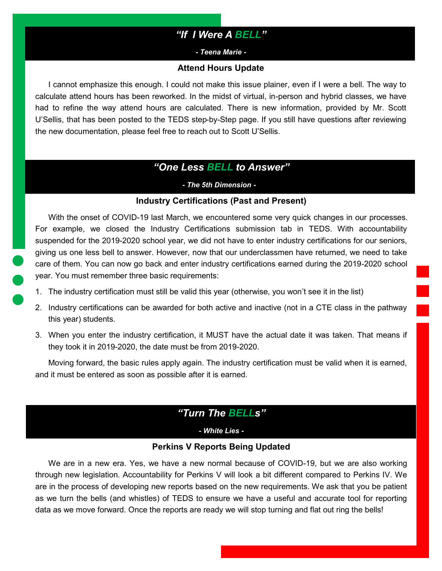# *"If I Were A BELL"*

*- Teena Marie -*

#### **Attend Hours Update**

<span id="page-1-0"></span>I cannot emphasize this enough. I could not make this issue plainer, even if I were a bell. The way to calculate attend hours has been reworked. In the midst of virtual, in-person and hybrid classes, we have had to refine the way attend hours are calculated. There is new information, provided by Mr. Scott U'Sellis, that has been posted to the TEDS step-by-Step page. If you still have questions after reviewing the new documentation, please feel free to reach out to Scott U'Sellis.

### *"One Less BELL to Answer"*

*- The 5th Dimension - -*

#### **Industry Certifications (Past and Present)**

With the onset of COVID-19 last March, we encountered some very quick changes in our processes. For example, we closed the Industry Certifications submission tab in TEDS. With accountability suspended for the 2019-2020 school year, we did not have to enter industry certifications for our seniors, giving us one less bell to answer. However, now that our underclassmen have returned, we need to take care of them. You can now go back and enter industry certifications earned during the 2019-2020 school year. You must remember three basic requirements:

- 1. The industry certification must still be valid this year (otherwise, you won't see it in the list)
- 2. Industry certifications can be awarded for both active and inactive (not in a CTE class in the pathway this year) students.
- 3. When you enter the industry certification, it MUST have the actual date it was taken. That means if they took it in 2019-2020, the date must be from 2019-2020.

Moving forward, the basic rules apply again. The industry certification must be valid when it is earned, and it must be entered as soon as possible after it is earned.

### *"Turn The BELLs"*

*- White Lies -*

### **Perkins V Reports Being Updated**

We are in a new era. Yes, we have a new normal because of COVID-19, but we are also working through new legislation. Accountability for Perkins V will look a bit different compared to Perkins IV. We are in the process of developing new reports based on the new requirements. We ask that you be patient as we turn the bells (and whistles) of TEDS to ensure we have a useful and accurate tool for reporting data as we move forward. Once the reports are ready we will stop turning and flat out ring the bells!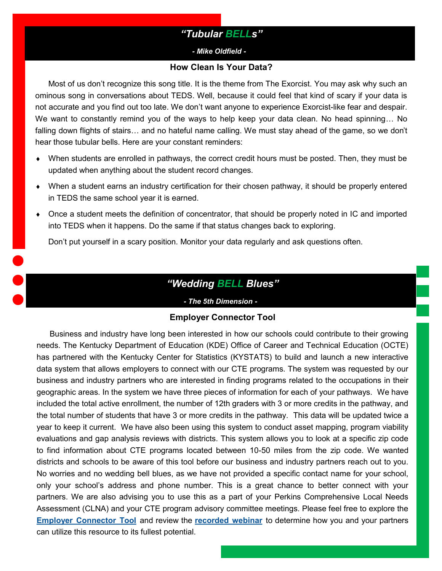# *"Tubular BELLs"*

#### *- Mike Oldfield - -*

#### **How Clean Is Your Data?**

<span id="page-2-0"></span>Most of us don't recognize this song title. It is the theme from The Exorcist. You may ask why such an ominous song in conversations about TEDS. Well, because it could feel that kind of scary if your data is not accurate and you find out too late. We don't want anyone to experience Exorcist-like fear and despair. We want to constantly remind you of the ways to help keep your data clean. No head spinning... No falling down flights of stairs… and no hateful name calling. We must stay ahead of the game, so we don't hear those tubular bells. Here are your constant reminders:

- When students are enrolled in pathways, the correct credit hours must be posted. Then, they must be updated when anything about the student record changes.
- When a student earns an industry certification for their chosen pathway, it should be properly entered in TEDS the same school year it is earned.
- Once a student meets the definition of concentrator, that should be properly noted in IC and imported into TEDS when it happens. Do the same if that status changes back to exploring.

Don't put yourself in a scary position. Monitor your data regularly and ask questions often.

# *"Wedding BELL Blues"*

#### *- The 5th Dimension - -*

#### **Employer Connector Tool**

Business and industry have long been interested in how our schools could contribute to their growing needs. The Kentucky Department of Education (KDE) Office of Career and Technical Education (OCTE) has partnered with the Kentucky Center for Statistics (KYSTATS) to build and launch a new interactive data system that allows employers to connect with our CTE programs. The system was requested by our business and industry partners who are interested in finding programs related to the occupations in their geographic areas. In the system we have three pieces of information for each of your pathways. We have included the total active enrollment, the number of 12th graders with 3 or more credits in the pathway, and the total number of students that have 3 or more credits in the pathway. This data will be updated twice a year to keep it current. We have also been using this system to conduct asset mapping, program viability evaluations and gap analysis reviews with districts. This system allows you to look at a specific zip code to find information about CTE programs located between 10-50 miles from the zip code. We wanted districts and schools to be aware of this tool before our business and industry partners reach out to you. No worries and no wedding bell blues, as we have not provided a specific contact name for your school, only your school's address and phone number. This is a great chance to better connect with your partners. We are also advising you to use this as a part of your Perkins Comprehensive Local Needs Assessment (CLNA) and your CTE program advisory committee meetings. Please feel free to explore the **[Employer Connector Tool](https://kystats.ky.gov/Reports/Tableau/CTESearchSystem)** and review the **[recorded webinar](https://mediaportal.education.ky.gov/college-and-career-readiness/2020/11/employer-connector-tool/)** to determine how you and your partners can utilize this resource to its fullest potential.